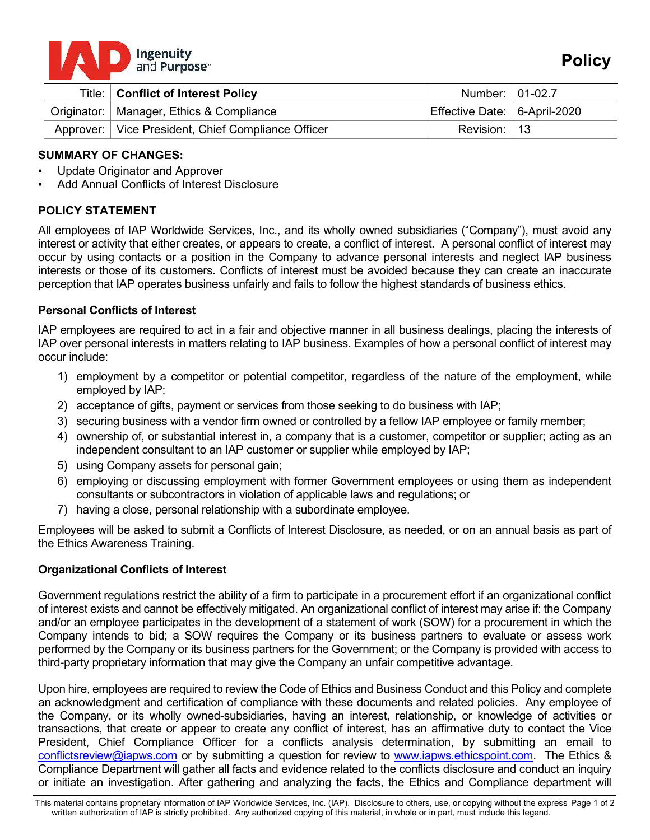

| Title:   Conflict of Interest Policy                 | Number: 01-02.7                |  |
|------------------------------------------------------|--------------------------------|--|
| Originator:   Manager, Ethics & Compliance           | Effective Date:   6-April-2020 |  |
| Approver:   Vice President, Chief Compliance Officer | Revision: $\vert$ 13           |  |

## **SUMMARY OF CHANGES:**

- Update Originator and Approver
- Add Annual Conflicts of Interest Disclosure

## **POLICY STATEMENT**

All employees of IAP Worldwide Services, Inc., and its wholly owned subsidiaries ("Company"), must avoid any interest or activity that either creates, or appears to create, a conflict of interest. A personal conflict of interest may occur by using contacts or a position in the Company to advance personal interests and neglect IAP business interests or those of its customers. Conflicts of interest must be avoided because they can create an inaccurate perception that IAP operates business unfairly and fails to follow the highest standards of business ethics.

## **Personal Conflicts of Interest**

IAP employees are required to act in a fair and objective manner in all business dealings, placing the interests of IAP over personal interests in matters relating to IAP business. Examples of how a personal conflict of interest may occur include:

- 1) employment by a competitor or potential competitor, regardless of the nature of the employment, while employed by IAP;
- 2) acceptance of gifts, payment or services from those seeking to do business with IAP;
- 3) securing business with a vendor firm owned or controlled by a fellow IAP employee or family member;
- 4) ownership of, or substantial interest in, a company that is a customer, competitor or supplier; acting as an independent consultant to an IAP customer or supplier while employed by IAP;
- 5) using Company assets for personal gain;
- 6) employing or discussing employment with former Government employees or using them as independent consultants or subcontractors in violation of applicable laws and regulations; or
- 7) having a close, personal relationship with a subordinate employee.

Employees will be asked to submit a Conflicts of Interest Disclosure, as needed, or on an annual basis as part of the Ethics Awareness Training.

## **Organizational Conflicts of Interest**

Government regulations restrict the ability of a firm to participate in a procurement effort if an organizational conflict of interest exists and cannot be effectively mitigated. An organizational conflict of interest may arise if: the Company and/or an employee participates in the development of a statement of work (SOW) for a procurement in which the Company intends to bid; a SOW requires the Company or its business partners to evaluate or assess work performed by the Company or its business partners for the Government; or the Company is provided with access to third-party proprietary information that may give the Company an unfair competitive advantage.

Upon hire, employees are required to review the Code of Ethics and Business Conduct and this Policy and complete an acknowledgment and certification of compliance with these documents and related policies. Any employee of the Company, or its wholly owned-subsidiaries, having an interest, relationship, or knowledge of activities or transactions, that create or appear to create any conflict of interest, has an affirmative duty to contact the Vice President, Chief Compliance Officer for a conflicts analysis determination, by submitting an email to conflictsreview@iapws.com or by submitting a question for review to www.iapws.ethicspoint.com. The Ethics & Compliance Department will gather all facts and evidence related to the conflicts disclosure and conduct an inquiry or initiate an investigation. After gathering and analyzing the facts, the Ethics and Compliance department will